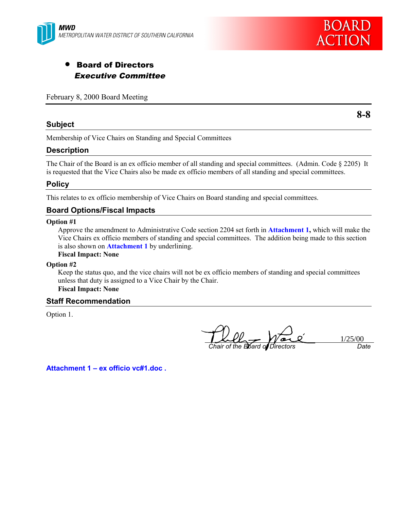



# • Board of Directors Executive Committee

## February 8, 2000 Board Meeting

#### **Subject**

**8-8**

Membership of Vice Chairs on Standing and Special Committees

### **Description**

The Chair of the Board is an ex officio member of all standing and special committees. (Admin. Code § 2205) It is requested that the Vice Chairs also be made ex officio members of all standing and special committees.

### **Policy**

This relates to ex officio membership of Vice Chairs on Board standing and special committees.

## **Board Options/Fiscal Impacts**

#### **Option #1**

Approve the amendment to Administrative Code section 2204 set forth in **Attachment 1,** which will make the Vice Chairs ex officio members of standing and special committees. The addition being made to this section is also shown on **Attachment 1** by underlining.

## **Fiscal Impact: None**

#### **Option #2**

Keep the status quo, and the vice chairs will not be ex officio members of standing and special committees unless that duty is assigned to a Vice Chair by the Chair. **Fiscal Impact: None**

#### **Staff Recommendation**

Option 1.

*Chair of the Board of Directors Date*

 $\frac{1/25/00}{Date}$ 

**Attachment 1 – ex officio vc#1.doc .**